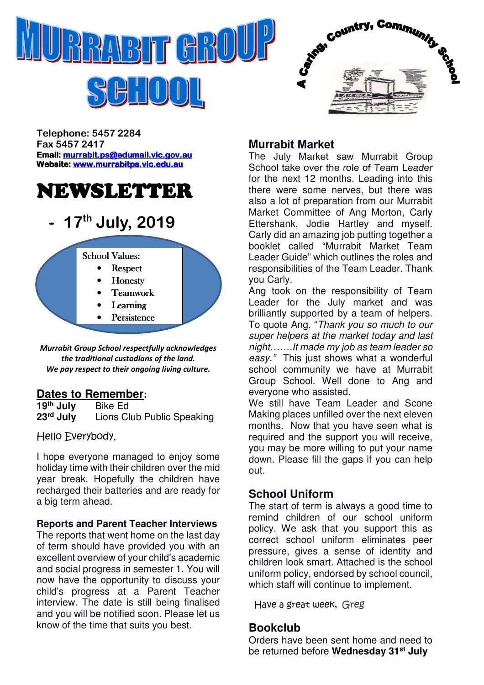

 $H^1_1[0]1]$ 



Telephone: 5457 2284 Fax 5457 2417 Email: murrabit.ps@edumail.vic.gov.au Website: www.murrabitps.vic.edu.au

## NEWSLETTER

## 17<sup>th</sup> July, 2019



Murrabit Group School respectfully acknowledges the traditional custodians of the land. We pay respect to their ongoing living culture.

## **Dates to Remember:**<br>19<sup>th</sup> July Bike Ed

**19<sup>th</sup> July**<br>23<sup>rd</sup> July **Lions Club Public Speaking** 

Hello Everybody,

I hope everyone managed to enjoy some holiday time with their children over the mid year break. Hopefully the children have recharged their batteries and are ready for a big term ahead.

#### **Reports and Parent Teacher Interviews**

The reports that went home on the last day of term should have provided you with an excellent overview of your child's academic and social progress in semester 1. You will now have the opportunity to discuss your child's progress at a Parent Teacher interview. The date is still being finalised and you will be notified soon. Please let us know of the time that suits you best.

### **Murrabit Market**

The July Market saw Murrabit Group School take over the role of Team Leader for the next 12 months. Leading into this there were some nerves, but there was also a lot of preparation from our Murrabit Market Committee of Ang Morton, Carly Ettershank, Jodie Hartley and myself. Carly did an amazing job putting together a booklet called "Murrabit Market Team Leader Guide" which outlines the roles and responsibilities of the Team Leader. Thank you Carly.

Ang took on the responsibility of Team Leader for the July market and was brilliantly supported by a team of helpers. To quote Ang, "Thank you so much to our super helpers at the market today and last night…….It made my job as team leader so easy." This just shows what a wonderful school community we have at Murrabit Group School. Well done to Ang and everyone who assisted.

We still have Team Leader and Scone Making places unfilled over the next eleven months. Now that you have seen what is required and the support you will receive, you may be more willing to put your name down. Please fill the gaps if you can help out.

## **School Uniform**

The start of term is always a good time to remind children of our school uniform policy. We ask that you support this as correct school uniform eliminates peer pressure, gives a sense of identity and children look smart. Attached is the school uniform policy, endorsed by school council, which staff will continue to implement.

Have a great week, Greg

## **Bookclub**

Orders have been sent home and need to be returned before **Wednesday 31st July**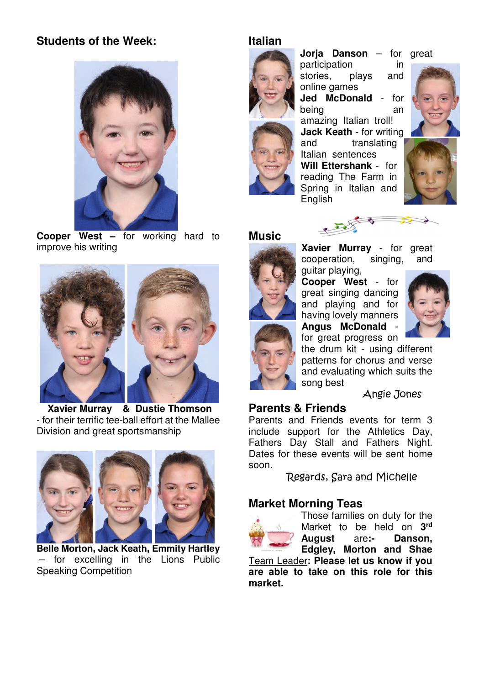## **Students of the Week:**



 **Cooper West –** for working hard to improve his writing



 **Xavier Murray & Dustie Thomson**  - for their terrific tee-ball effort at the Mallee Division and great sportsmanship



**Belle Morton, Jack Keath, Emmity Hartley**  – for excelling in the Lions Public Speaking Competition

#### **Italian**



**Jorja Danson** – for great participation in stories, plays and

online games **Jed McDonald** - for being an an amazing Italian troll! **Jack Keath** - for writing and translating Italian sentences **Will Ettershank** - for reading The Farm in



**Music** 



**Xavier Murray** - for great cooperation, singing, and guitar playing,

**Cooper West** - for great singing dancing and playing and for having lovely manners **Angus McDonald** -

for great progress on



the drum kit - using different patterns for chorus and verse and evaluating which suits the song best

Angie Jones

#### **Parents & Friends**

Parents and Friends events for term 3 include support for the Athletics Day, Fathers Day Stall and Fathers Night. Dates for these events will be sent home soon.

Regards, Sara and Michelle

#### **Market Morning Teas**



Those families on duty for the Market to be held on **3 rd August** are**:- Danson, Edgley, Morton and Shae** 

Team Leader**: Please let us know if you are able to take on this role for this market.**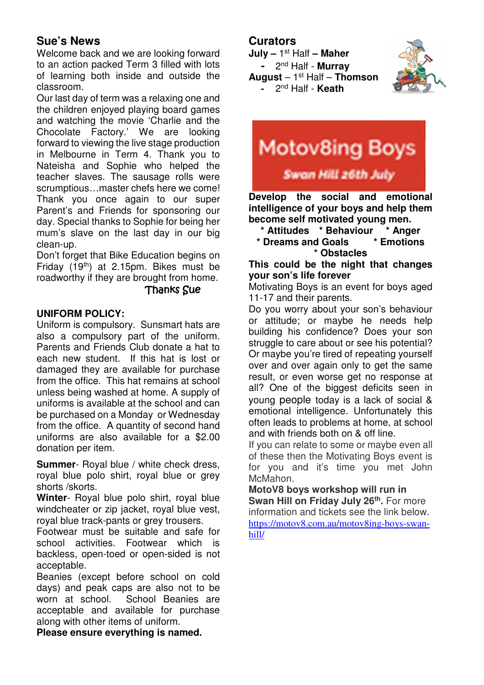## **Sue's News**

Welcome back and we are looking forward to an action packed Term 3 filled with lots of learning both inside and outside the classroom.

Our last day of term was a relaxing one and the children enjoyed playing board games and watching the movie 'Charlie and the Chocolate Factory.' We are looking forward to viewing the live stage production in Melbourne in Term 4. Thank you to Nateisha and Sophie who helped the teacher slaves. The sausage rolls were scrumptious…master chefs here we come! Thank you once again to our super Parent's and Friends for sponsoring our day. Special thanks to Sophie for being her mum's slave on the last day in our big clean-up.

Don't forget that Bike Education begins on Friday (19th) at 2.15pm. Bikes must be roadworthy if they are brought from home.

#### **Thanks Sue**

#### **UNIFORM POLICY:**

Uniform is compulsory. Sunsmart hats are also a compulsory part of the uniform. Parents and Friends Club donate a hat to each new student. If this hat is lost or damaged they are available for purchase from the office. This hat remains at school unless being washed at home. A supply of uniforms is available at the school and can be purchased on a Monday or Wednesday from the office. A quantity of second hand uniforms are also available for a \$2.00 donation per item.

**Summer**- Royal blue / white check dress, royal blue polo shirt, royal blue or grey shorts /skorts.

**Winter**- Royal blue polo shirt, royal blue windcheater or zip jacket, royal blue vest, royal blue track-pants or grey trousers.

Footwear must be suitable and safe for school activities. Footwear which is backless, open-toed or open-sided is not acceptable.

Beanies (except before school on cold days) and peak caps are also not to be worn at school. School Beanies are acceptable and available for purchase along with other items of uniform.

**Please ensure everything is named.** 

### **Curators**

**July –** 1 st Half **– Maher** 



- 2 nd Half - **Murray August** – 1st Half – **Thomson** - 2nd Half - **Keath**

# **Motov8ing Boys** Swan Hill 26th July

 **Develop the social and emotional intelligence of your boys and help them become self motivated young men.** 

- **\* Attitudes \* Behaviour \* Anger**
- **\* Dreams and Goals \* Emotions \* Obstacles**

**This could be the night that changes your son's life forever** 

Motivating Boys is an event for boys aged 11-17 and their parents.

Do you worry about your son's behaviour or attitude; or maybe he needs help building his confidence? Does your son struggle to care about or see his potential? Or maybe you're tired of repeating yourself over and over again only to get the same result, or even worse get no response at all? One of the biggest deficits seen in young people today is a lack of social & emotional intelligence. Unfortunately this often leads to problems at home, at school and with friends both on & off line.

If you can relate to some or maybe even all of these then the Motivating Boys event is for you and it's time you met John McMahon.

**MotoV8 boys workshop will run in Swan Hill on Friday July 26th .** For more information and tickets see the link below. https://motov8.com.au/motov8ing-boys-swanhill/